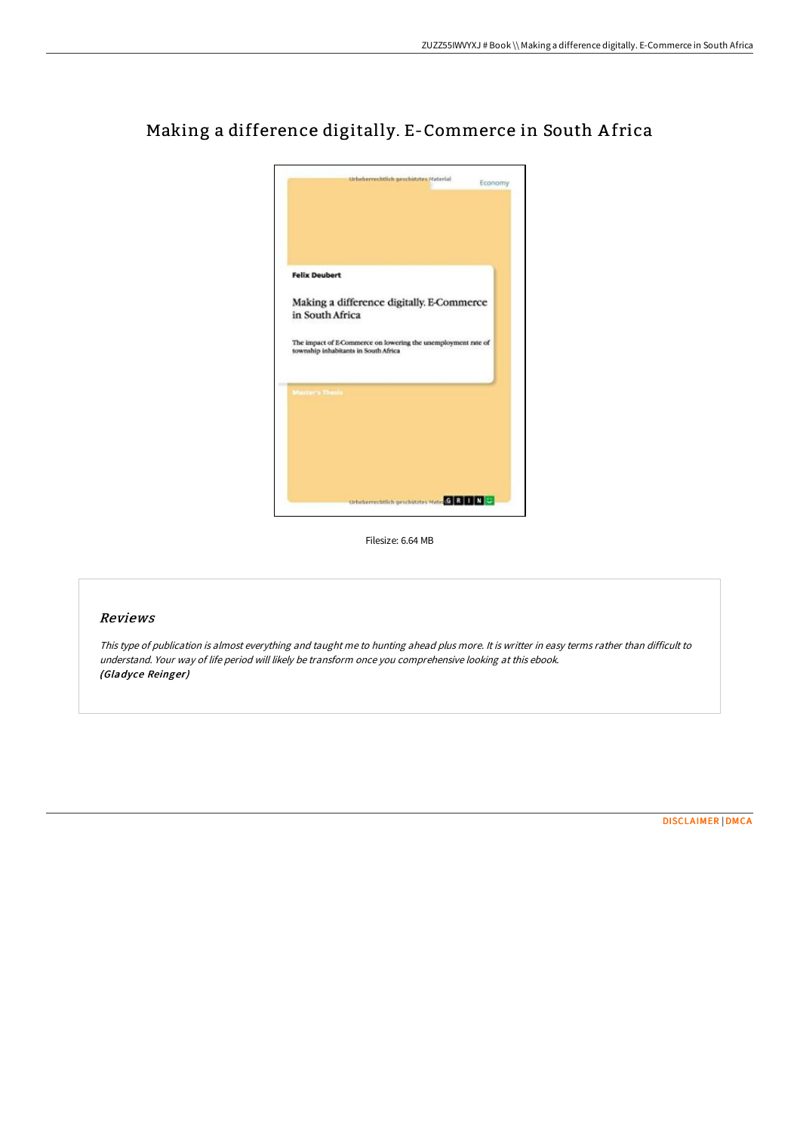

## Making a difference digitally. E-Commerce in South A frica

Filesize: 6.64 MB

## Reviews

This type of publication is almost everything and taught me to hunting ahead plus more. It is writter in easy terms rather than difficult to understand. Your way of life period will likely be transform once you comprehensive looking at this ebook. (Gladyce Reinger)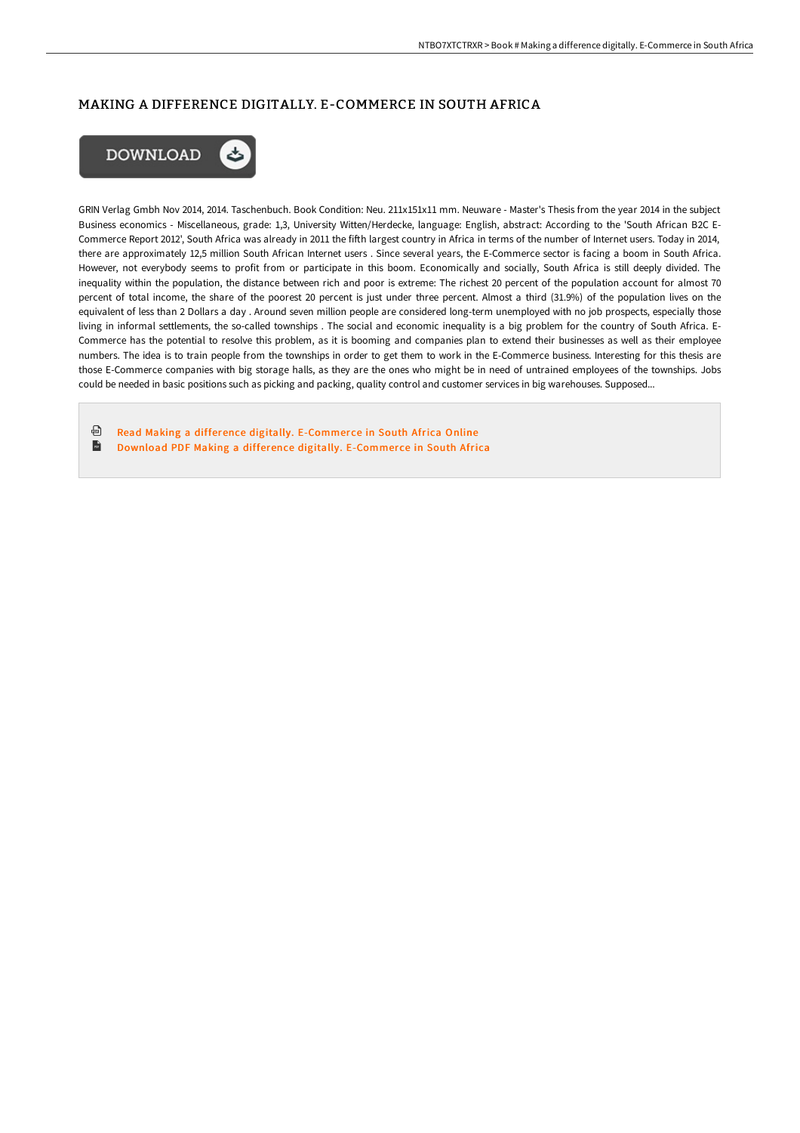## MAKING A DIFFERENCE DIGITALLY. E-COMMERCE IN SOUTH AFRICA



GRIN Verlag Gmbh Nov 2014, 2014. Taschenbuch. Book Condition: Neu. 211x151x11 mm. Neuware - Master's Thesis from the year 2014 in the subject Business economics - Miscellaneous, grade: 1,3, University Witten/Herdecke, language: English, abstract: According to the 'South African B2C E-Commerce Report 2012', South Africa was already in 2011 the fiFh largest country in Africa in terms of the number of Internet users. Today in 2014, there are approximately 12,5 million South African Internet users . Since several years, the E-Commerce sector is facing a boom in South Africa. However, not everybody seems to profit from or participate in this boom. Economically and socially, South Africa is still deeply divided. The inequality within the population, the distance between rich and poor is extreme: The richest 20 percent of the population account for almost 70 percent of total income, the share of the poorest 20 percent is just under three percent. Almost a third (31.9%) of the population lives on the equivalent of less than 2 Dollars a day . Around seven million people are considered long-term unemployed with no job prospects, especially those living in informal settlements, the so-called townships . The social and economic inequality is a big problem for the country of South Africa. E-Commerce has the potential to resolve this problem, as it is booming and companies plan to extend their businesses as well as their employee numbers. The idea is to train people from the townships in order to get them to work in the E-Commerce business. Interesting for this thesis are those E-Commerce companies with big storage halls, as they are the ones who might be in need of untrained employees of the townships. Jobs could be needed in basic positions such as picking and packing, quality control and customer services in big warehouses. Supposed...

⊕ Read Making a difference digitally. [E-Commer](http://digilib.live/making-a-difference-digitally-e-commerce-in-sout.html)ce in South Africa Online  $\mathbb{R}$ Download PDF Making a difference digitally. [E-Commer](http://digilib.live/making-a-difference-digitally-e-commerce-in-sout.html)ce in South Africa